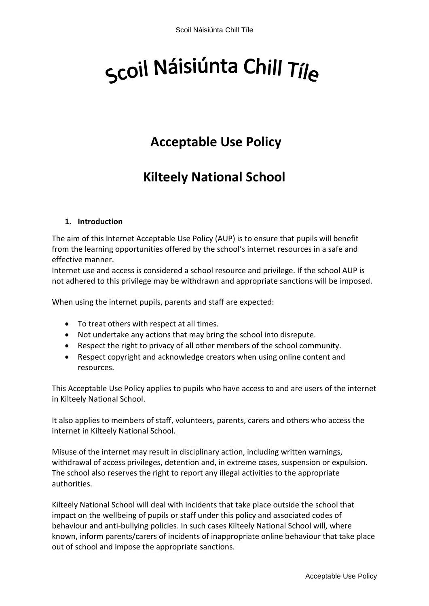# Scoil Náisiúnta Chill Tíle

## **Acceptable Use Policy**

## **Kilteely National School**

#### **1. Introduction**

The aim of this Internet Acceptable Use Policy (AUP) is to ensure that pupils will benefit from the learning opportunities offered by the school's internet resources in a safe and effective manner.

Internet use and access is considered a school resource and privilege. If the school AUP is not adhered to this privilege may be withdrawn and appropriate sanctions will be imposed.

When using the internet pupils, parents and staff are expected:

- To treat others with respect at all times.
- Not undertake any actions that may bring the school into disrepute.
- Respect the right to privacy of all other members of the school community.
- Respect copyright and acknowledge creators when using online content and resources.

This Acceptable Use Policy applies to pupils who have access to and are users of the internet in Kilteely National School.

It also applies to members of staff, volunteers, parents, carers and others who access the internet in Kilteely National School.

Misuse of the internet may result in disciplinary action, including written warnings, withdrawal of access privileges, detention and, in extreme cases, suspension or expulsion. The school also reserves the right to report any illegal activities to the appropriate authorities.

Kilteely National School will deal with incidents that take place outside the school that impact on the wellbeing of pupils or staff under this policy and associated codes of behaviour and anti-bullying policies. In such cases Kilteely National School will, where known, inform parents/carers of incidents of inappropriate online behaviour that take place out of school and impose the appropriate sanctions.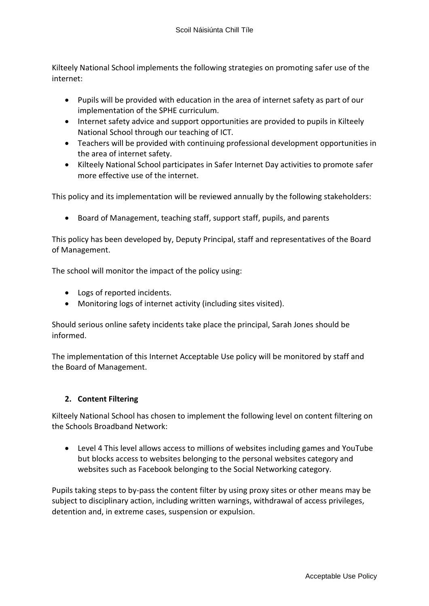Kilteely National School implements the following strategies on promoting safer use of the internet:

- Pupils will be provided with education in the area of internet safety as part of our implementation of the SPHE curriculum.
- Internet safety advice and support opportunities are provided to pupils in Kilteely National School through our teaching of ICT.
- Teachers will be provided with continuing professional development opportunities in the area of internet safety.
- Kilteely National School participates in Safer Internet Day activities to promote safer more effective use of the internet.

This policy and its implementation will be reviewed annually by the following stakeholders:

• Board of Management, teaching staff, support staff, pupils, and parents

This policy has been developed by, Deputy Principal, staff and representatives of the Board of Management.

The school will monitor the impact of the policy using:

- Logs of reported incidents.
- Monitoring logs of internet activity (including sites visited).

Should serious online safety incidents take place the principal, Sarah Jones should be informed.

The implementation of this Internet Acceptable Use policy will be monitored by staff and the Board of Management.

#### **2. Content Filtering**

Kilteely National School has chosen to implement the following level on content filtering on the Schools Broadband Network:

 Level 4 This level allows access to millions of websites including games and YouTube but blocks access to websites belonging to the personal websites category and websites such as Facebook belonging to the Social Networking category.

Pupils taking steps to by-pass the content filter by using proxy sites or other means may be subject to disciplinary action, including written warnings, withdrawal of access privileges, detention and, in extreme cases, suspension or expulsion.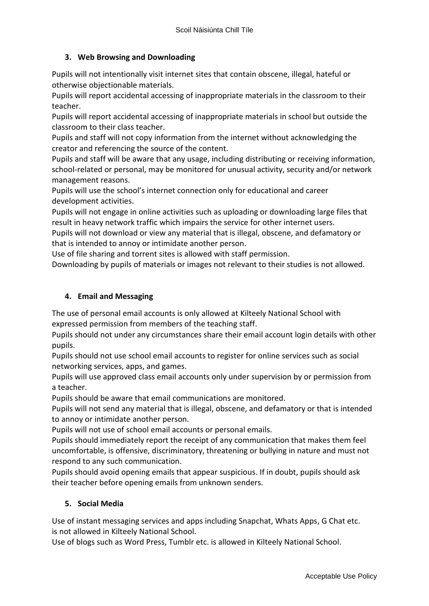#### **3. Web Browsing and Downloading**

Pupils will not intentionally visit internet sites that contain obscene, illegal, hateful or otherwise objectionable materials.

Pupils will report accidental accessing of inappropriate materials in the classroom to their teacher.

Pupils will report accidental accessing of inappropriate materials in school but outside the classroom to their class teacher.

Pupils and staff will not copy information from the internet without acknowledging the creator and referencing the source of the content.

Pupils and staff will be aware that any usage, including distributing or receiving information, school-related or personal, may be monitored for unusual activity, security and/or network management reasons.

Pupils will use the school's internet connection only for educational and career development activities.

Pupils will not engage in online activities such as uploading or downloading large files that result in heavy network traffic which impairs the service for other internet users.

Pupils will not download or view any material that is illegal, obscene, and defamatory or that is intended to annoy or intimidate another person.

Use of file sharing and torrent sites is allowed with staff permission.

Downloading by pupils of materials or images not relevant to their studies is not allowed.

#### **4. Email and Messaging**

The use of personal email accounts is only allowed at Kilteely National School with expressed permission from members of the teaching staff.

Pupils should not under any circumstances share their email account login details with other pupils.

Pupils should not use school email accounts to register for online services such as social networking services, apps, and games.

Pupils will use approved class email accounts only under supervision by or permission from a teacher.

Pupils should be aware that email communications are monitored.

Pupils will not send any material that is illegal, obscene, and defamatory or that is intended to annoy or intimidate another person.

Pupils will not use of school email accounts or personal emails.

Pupils should immediately report the receipt of any communication that makes them feel uncomfortable, is offensive, discriminatory, threatening or bullying in nature and must not respond to any such communication.

Pupils should avoid opening emails that appear suspicious. If in doubt, pupils should ask their teacher before opening emails from unknown senders.

#### **5. Social Media**

Use of instant messaging services and apps including Snapchat, Whats Apps, G Chat etc. is not allowed in Kilteely National School.

Use of blogs such as Word Press, Tumblr etc. is allowed in Kilteely National School.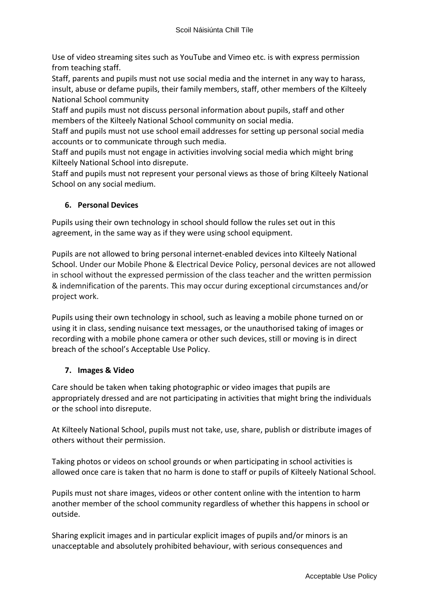Use of video streaming sites such as YouTube and Vimeo etc. is with express permission from teaching staff.

Staff, parents and pupils must not use social media and the internet in any way to harass, insult, abuse or defame pupils, their family members, staff, other members of the Kilteely National School community

Staff and pupils must not discuss personal information about pupils, staff and other members of the Kilteely National School community on social media.

Staff and pupils must not use school email addresses for setting up personal social media accounts or to communicate through such media.

Staff and pupils must not engage in activities involving social media which might bring Kilteely National School into disrepute.

Staff and pupils must not represent your personal views as those of bring Kilteely National School on any social medium.

#### **6. Personal Devices**

Pupils using their own technology in school should follow the rules set out in this agreement, in the same way as if they were using school equipment.

Pupils are not allowed to bring personal internet-enabled devices into Kilteely National School. Under our Mobile Phone & Electrical Device Policy, personal devices are not allowed in school without the expressed permission of the class teacher and the written permission & indemnification of the parents. This may occur during exceptional circumstances and/or project work.

Pupils using their own technology in school, such as leaving a mobile phone turned on or using it in class, sending nuisance text messages, or the unauthorised taking of images or recording with a mobile phone camera or other such devices, still or moving is in direct breach of the school's Acceptable Use Policy.

#### **7. Images & Video**

Care should be taken when taking photographic or video images that pupils are appropriately dressed and are not participating in activities that might bring the individuals or the school into disrepute.

At Kilteely National School, pupils must not take, use, share, publish or distribute images of others without their permission.

Taking photos or videos on school grounds or when participating in school activities is allowed once care is taken that no harm is done to staff or pupils of Kilteely National School.

Pupils must not share images, videos or other content online with the intention to harm another member of the school community regardless of whether this happens in school or outside.

Sharing explicit images and in particular explicit images of pupils and/or minors is an unacceptable and absolutely prohibited behaviour, with serious consequences and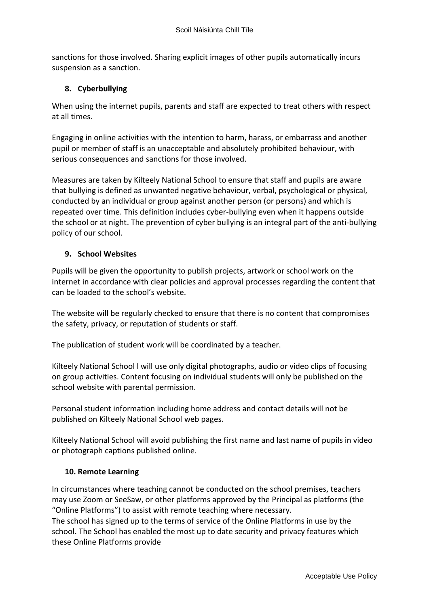sanctions for those involved. Sharing explicit images of other pupils automatically incurs suspension as a sanction.

#### **8. Cyberbullying**

When using the internet pupils, parents and staff are expected to treat others with respect at all times.

Engaging in online activities with the intention to harm, harass, or embarrass and another pupil or member of staff is an unacceptable and absolutely prohibited behaviour, with serious consequences and sanctions for those involved.

Measures are taken by Kilteely National School to ensure that staff and pupils are aware that bullying is defined as unwanted negative behaviour, verbal, psychological or physical, conducted by an individual or group against another person (or persons) and which is repeated over time. This definition includes cyber-bullying even when it happens outside the school or at night. The prevention of cyber bullying is an integral part of the anti-bullying policy of our school.

#### **9. School Websites**

Pupils will be given the opportunity to publish projects, artwork or school work on the internet in accordance with clear policies and approval processes regarding the content that can be loaded to the school's website.

The website will be regularly checked to ensure that there is no content that compromises the safety, privacy, or reputation of students or staff.

The publication of student work will be coordinated by a teacher.

Kilteely National School l will use only digital photographs, audio or video clips of focusing on group activities. Content focusing on individual students will only be published on the school website with parental permission.

Personal student information including home address and contact details will not be published on Kilteely National School web pages.

Kilteely National School will avoid publishing the first name and last name of pupils in video or photograph captions published online.

#### **10. Remote Learning**

In circumstances where teaching cannot be conducted on the school premises, teachers may use Zoom or SeeSaw, or other platforms approved by the Principal as platforms (the "Online Platforms") to assist with remote teaching where necessary.

The school has signed up to the terms of service of the Online Platforms in use by the school. The School has enabled the most up to date security and privacy features which these Online Platforms provide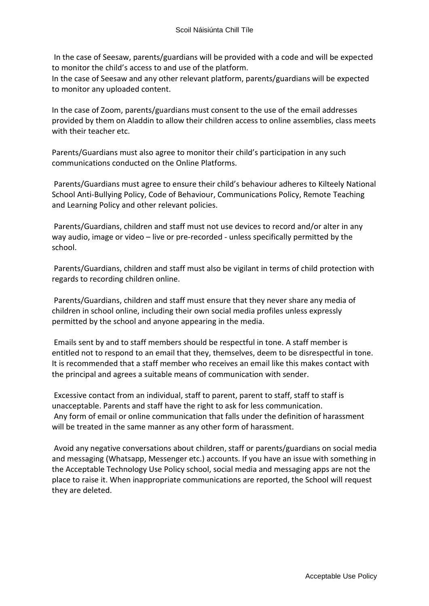In the case of Seesaw, parents/guardians will be provided with a code and will be expected to monitor the child's access to and use of the platform.

In the case of Seesaw and any other relevant platform, parents/guardians will be expected to monitor any uploaded content.

In the case of Zoom, parents/guardians must consent to the use of the email addresses provided by them on Aladdin to allow their children access to online assemblies, class meets with their teacher etc.

Parents/Guardians must also agree to monitor their child's participation in any such communications conducted on the Online Platforms.

Parents/Guardians must agree to ensure their child's behaviour adheres to Kilteely National School Anti-Bullying Policy, Code of Behaviour, Communications Policy, Remote Teaching and Learning Policy and other relevant policies.

Parents/Guardians, children and staff must not use devices to record and/or alter in any way audio, image or video – live or pre-recorded - unless specifically permitted by the school.

Parents/Guardians, children and staff must also be vigilant in terms of child protection with regards to recording children online.

Parents/Guardians, children and staff must ensure that they never share any media of children in school online, including their own social media profiles unless expressly permitted by the school and anyone appearing in the media.

Emails sent by and to staff members should be respectful in tone. A staff member is entitled not to respond to an email that they, themselves, deem to be disrespectful in tone. It is recommended that a staff member who receives an email like this makes contact with the principal and agrees a suitable means of communication with sender.

Excessive contact from an individual, staff to parent, parent to staff, staff to staff is unacceptable. Parents and staff have the right to ask for less communication. Any form of email or online communication that falls under the definition of harassment will be treated in the same manner as any other form of harassment.

Avoid any negative conversations about children, staff or parents/guardians on social media and messaging (Whatsapp, Messenger etc.) accounts. If you have an issue with something in the Acceptable Technology Use Policy school, social media and messaging apps are not the place to raise it. When inappropriate communications are reported, the School will request they are deleted.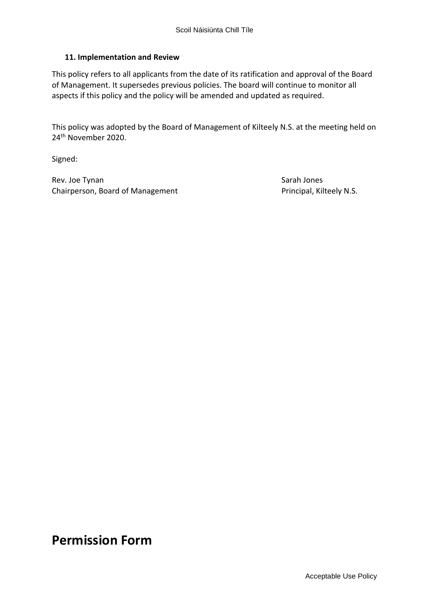#### **11. Implementation and Review**

This policy refers to all applicants from the date of its ratification and approval of the Board of Management. It supersedes previous policies. The board will continue to monitor all aspects if this policy and the policy will be amended and updated as required.

This policy was adopted by the Board of Management of Kilteely N.S. at the meeting held on 24th November 2020.

Signed:

Rev. Joe Tynan Sarah Jones Sarah Jones Sarah Jones Sarah Jones Sarah Jones Sarah Jones Sarah Jones Sarah Jones Chairperson, Board of Management Principal, Kilteely N.S.

### **Permission Form**